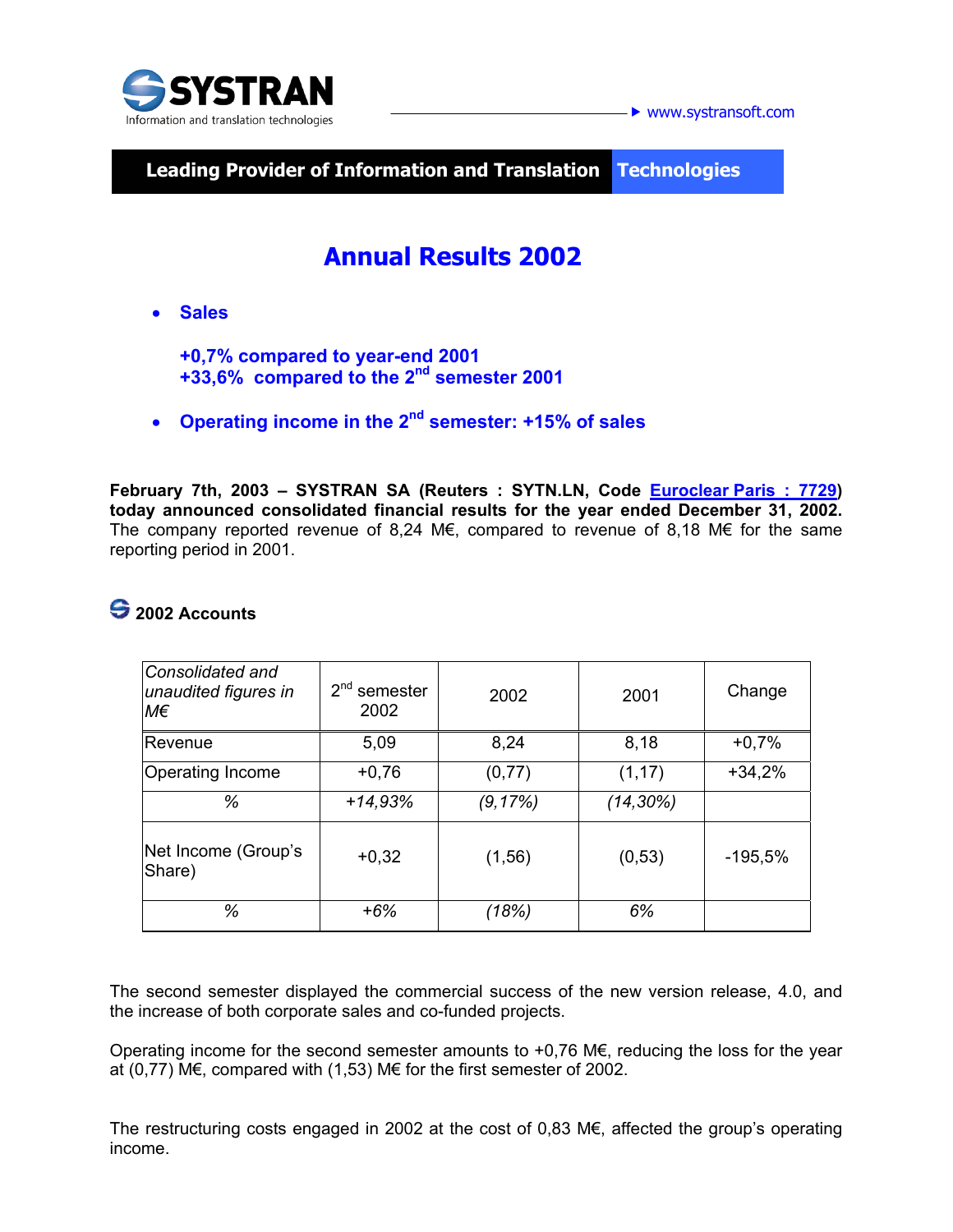

**► www.systransoft.com** 

**Leading Provider of Information and Translation\_ Technologies** 

# **Annual Results 2002**

• **Sales** 

**+0,7% compared to year-end 2001 +33,6% compared to the 2nd semester 2001** 

• **Operating income in the 2nd semester: +15% of sales** 

February 7th, 2003 - SYSTRAN SA (Reuters : SYTN.LN, Code **Euroclear Paris : 7729) today announced consolidated financial results for the year ended December 31, 2002.**  The company reported revenue of 8,24 M€, compared to revenue of 8,18 M€ for the same reporting period in 2001.

## **2002 Accounts**

| Consolidated and<br>unaudited figures in<br>M€ | $2nd$ semester<br>2002 | 2002     | 2001         | Change    |
|------------------------------------------------|------------------------|----------|--------------|-----------|
| Revenue                                        | 5,09                   | 8,24     | 8,18         | $+0,7%$   |
| <b>Operating Income</b>                        | $+0,76$                | (0, 77)  | (1, 17)      | $+34,2%$  |
| %                                              | $+14,93%$              | (9, 17%) | $(14, 30\%)$ |           |
| Net Income (Group's<br>Share)                  | $+0,32$                | (1, 56)  | (0, 53)      | $-195,5%$ |
| ℅                                              | $+6%$                  | (18%)    | 6%           |           |

The second semester displayed the commercial success of the new version release, 4.0, and the increase of both corporate sales and co-funded projects.

Operating income for the second semester amounts to +0,76 M $\epsilon$ , reducing the loss for the year at (0,77) M€, compared with (1,53) M€ for the first semester of 2002.

The restructuring costs engaged in 2002 at the cost of 0,83 M€, affected the group's operating income.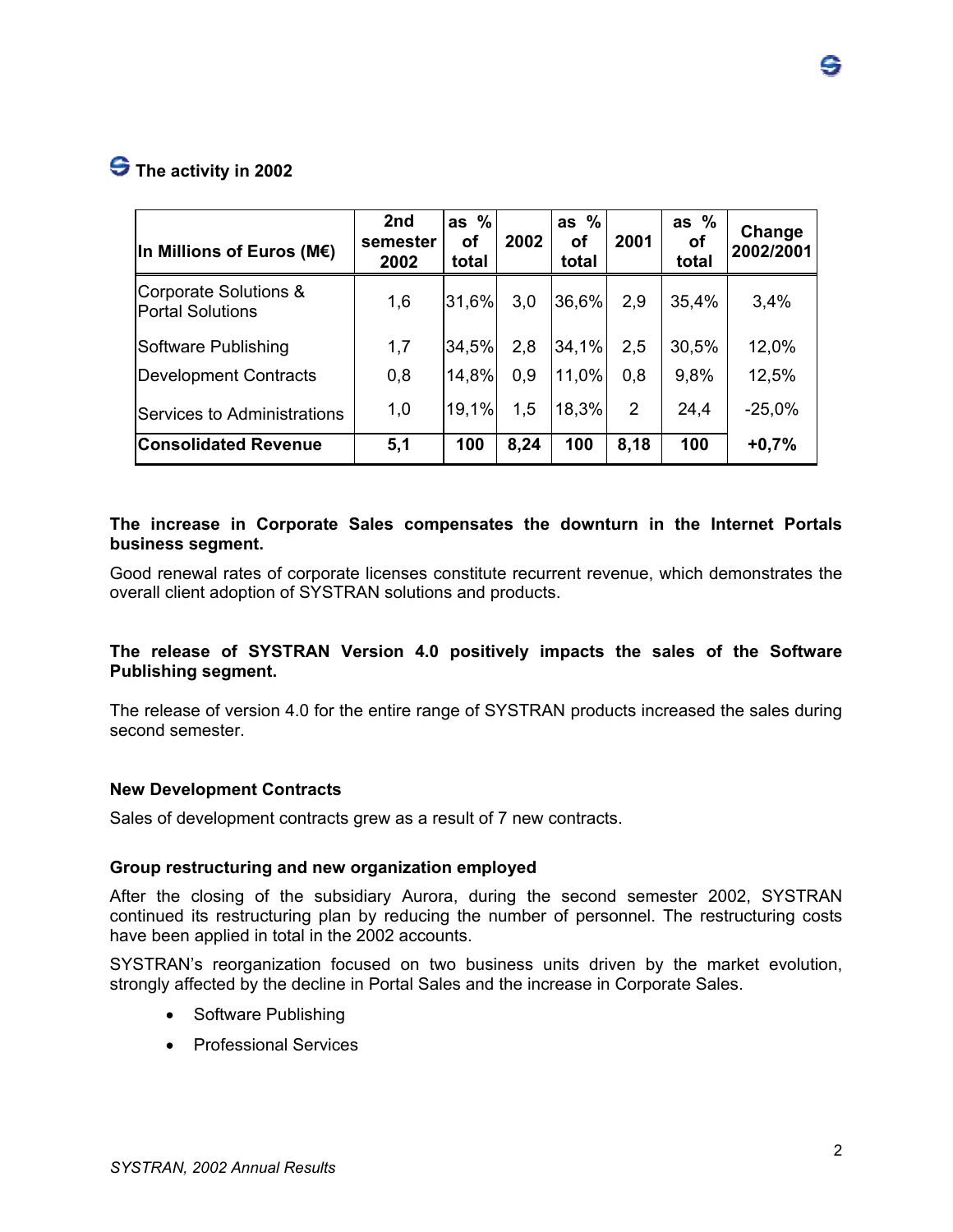### **S** The activity in 2002

| In Millions of Euros (M $\epsilon$ )             | 2nd<br>semester<br>2002 | as $%$<br>οf<br>total | 2002 | as $%$<br>οf<br>total | 2001 | as $%$<br>οf<br>total | Change<br>2002/2001 |
|--------------------------------------------------|-------------------------|-----------------------|------|-----------------------|------|-----------------------|---------------------|
| Corporate Solutions &<br><b>Portal Solutions</b> | 1,6                     | 31,6%                 | 3,0  | 36,6%                 | 2,9  | 35,4%                 | 3,4%                |
| Software Publishing                              | 1,7                     | 34,5%                 | 2,8  | 34,1%                 | 2,5  | 30,5%                 | 12,0%               |
| Development Contracts                            | 0,8                     | 14,8%                 | 0.9  | 11.0%                 | 0,8  | 9,8%                  | 12,5%               |
| Services to Administrations                      | 1,0                     | 19,1%                 | 1,5  | 18,3%                 | 2    | 24,4                  | $-25,0%$            |
| <b>Consolidated Revenue</b>                      | 5,1                     | 100                   | 8,24 | 100                   | 8,18 | 100                   | $+0,7%$             |

#### **The increase in Corporate Sales compensates the downturn in the Internet Portals business segment.**

Good renewal rates of corporate licenses constitute recurrent revenue, which demonstrates the overall client adoption of SYSTRAN solutions and products.

#### **The release of SYSTRAN Version 4.0 positively impacts the sales of the Software Publishing segment.**

The release of version 4.0 for the entire range of SYSTRAN products increased the sales during second semester.

#### **New Development Contracts**

Sales of development contracts grew as a result of 7 new contracts.

#### **Group restructuring and new organization employed**

After the closing of the subsidiary Aurora, during the second semester 2002, SYSTRAN continued its restructuring plan by reducing the number of personnel. The restructuring costs have been applied in total in the 2002 accounts.

SYSTRAN's reorganization focused on two business units driven by the market evolution, strongly affected by the decline in Portal Sales and the increase in Corporate Sales.

- Software Publishing
- Professional Services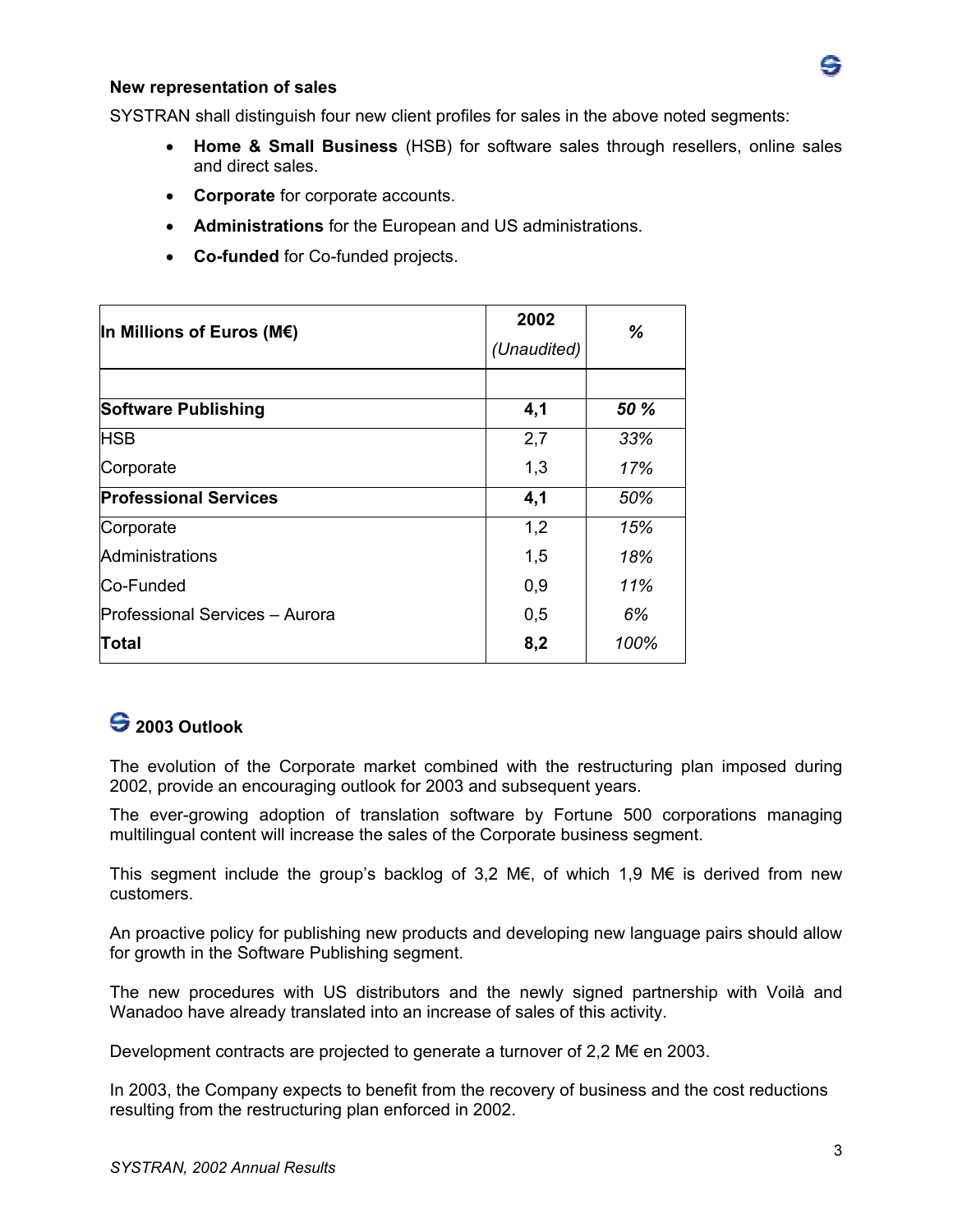

#### **New representation of sales**

SYSTRAN shall distinguish four new client profiles for sales in the above noted segments:

- **Home & Small Business** (HSB) for software sales through resellers, online sales and direct sales.
- **Corporate** for corporate accounts.
- **Administrations** for the European and US administrations.
- **Co-funded** for Co-funded projects.

| In Millions of Euros (M $\epsilon$ ) | 2002<br>(Unaudited) | %    |
|--------------------------------------|---------------------|------|
| <b>Software Publishing</b>           | 4,1                 | 50 % |
| <b>HSB</b>                           | 2,7                 | 33%  |
| Corporate                            | 1,3                 | 17%  |
| <b>Professional Services</b>         | 4,1                 | 50%  |
| Corporate                            | 1,2                 | 15%  |
| Administrations                      | 1,5                 | 18%  |
| Co-Funded                            | 0,9                 | 11%  |
| Professional Services - Aurora       | 0,5                 | 6%   |
| <b>Total</b>                         | 8,2                 | 100% |

### **2003 Outlook**

The evolution of the Corporate market combined with the restructuring plan imposed during 2002, provide an encouraging outlook for 2003 and subsequent years.

The ever-growing adoption of translation software by Fortune 500 corporations managing multilingual content will increase the sales of the Corporate business segment.

This segment include the group's backlog of 3.2 M€, of which 1.9 M€ is derived from new customers.

An proactive policy for publishing new products and developing new language pairs should allow for growth in the Software Publishing segment.

The new procedures with US distributors and the newly signed partnership with Voilà and Wanadoo have already translated into an increase of sales of this activity.

Development contracts are projected to generate a turnover of 2,2  $M \epsilon$  en 2003.

In 2003, the Company expects to benefit from the recovery of business and the cost reductions resulting from the restructuring plan enforced in 2002.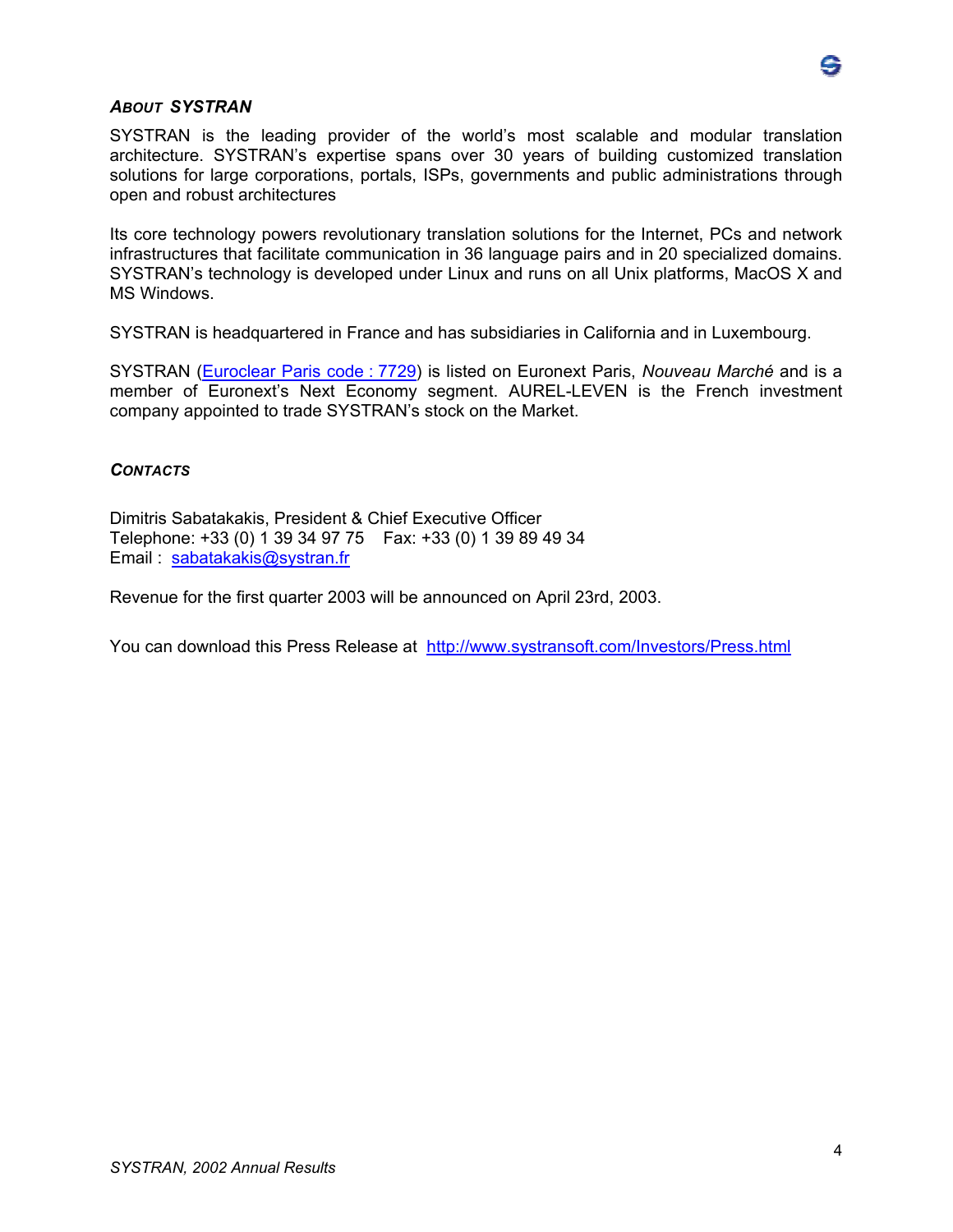

#### *ABOUT SYSTRAN*

SYSTRAN is the leading provider of the world's most scalable and modular translation architecture. SYSTRAN's expertise spans over 30 years of building customized translation solutions for large corporations, portals, ISPs, governments and public administrations through open and robust architectures

Its core technology powers revolutionary translation solutions for the Internet, PCs and network infrastructures that facilitate communication in 36 language pairs and in 20 specialized domains. SYSTRAN's technology is developed under Linux and runs on all Unix platforms, MacOS X and MS Windows.

SYSTRAN is headquartered in France and has subsidiaries in California and in Luxembourg.

SYSTRAN (Euroclear Paris code : 7729) is listed on Euronext Paris, *Nouveau Marché* and is a member of Euronext's Next Economy segment. AUREL-LEVEN is the French investment company appointed to trade SYSTRAN's stock on the Market.

#### *CONTACTS*

Dimitris Sabatakakis, President & Chief Executive Officer Telephone: +33 (0) 1 39 34 97 75 Fax: +33 (0) 1 39 89 49 34 Email : sabatakakis@systran.fr

Revenue for the first quarter 2003 will be announced on April 23rd, 2003.

You can download this Press Release at http://www.systransoft.com/Investors/Press.html